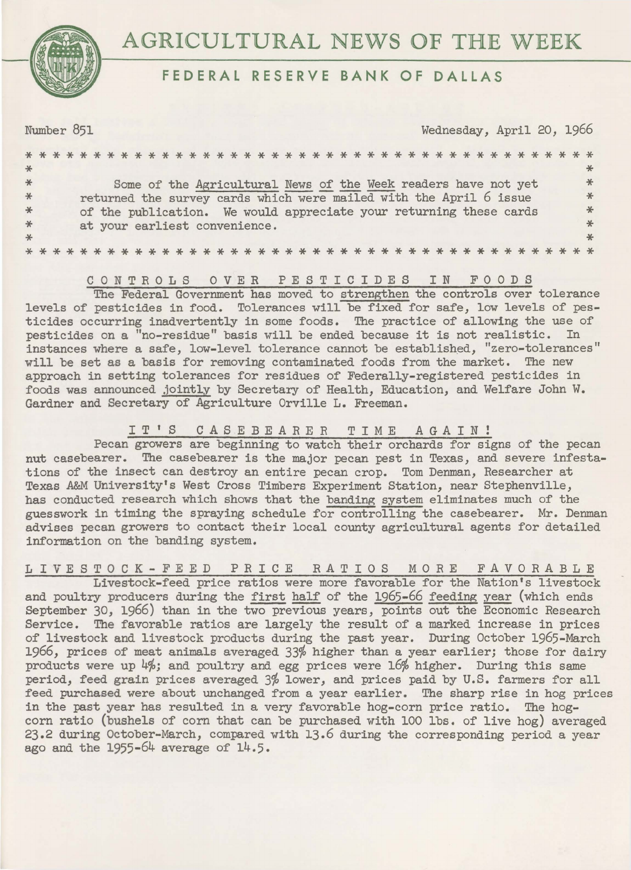

## **FEDERAL RESERVE BANK OF DALLAS**

Number 851 Wednesday, April 20, 1966 \*\*\*\*\*\*\*\*\*\*\*\*\*\*\*\*\*\*\*\*\*\*\*\*\*\*\*\*\*\*\*\*\*\*\*\*\*\*\*\*\*\* \* Some of the Agricultural News of the Week readers have not yet \* \* returned the survey cards which were mailed with the April 6 issue \* \* \* of the publication. We would appreciate your returning these cards \* \* \* \* \* \* \* \* at your earliest convenience. \* \* \* \*\*\*\*\*\*\*\*\*\*\*\*\*\*\*\*\*\*\*\*\*\*\*\*\*\*\*\*\*\*\*\*\*\*\*\*\*\*\*\*\*\*

### CONTROLS OVER PESTICIDES IN FOODS

The Federal Government has moved to strengthen the controls over tolerance levels of pesticides in food. Tolerances will be fixed for safe, low levels of pesticides occurring inadvertently in some foods. The practice of allowing the use of pesticides on a "no-residue" basis will be ended because it is not realistic. In instances where a safe, low-level tolerance cannot be established, "zero-tolerances" will be set as a basis for removing contaminated foods from the market. The new approach in setting tolerances for residues of Federally-registered pesticides in foods was announced jointly by Secretary of Health, Education, and Welfare John W. Gardner and Secretary of Agriculture Orville L. Freeman.

## I T ' S CASE BEARER TIME AGAIN!

Pecan growers are beginning to watch their orchards for signs of the pecan nut casebearer. The casebearer is the major pecan pest in Texas, and severe infestations of the insect can destroy an entire pecan crop. Tom Denman, Researcher at Texas *A&M* University's West Cross Timbers Experiment Station, near Stephenville, has conducted research which shows that the banding system eliminates much of the guesswork in timing the spraying schedule for controlling the casebearer. Mr. Denman advises pecan growers to contact their local county agricultural agents for detailed information on the banding system.

# LIVESTOCK-FEED PRICE RATIOS MORE FAVORABLE

Livestock-feed price ratios were more favorable for the Nation's livestock and poultry producers during the first half of the 1965-66 feeding year (which ends September 30, 1966) than in the two previous years, points out the Economic Research Service. The favorable ratios are largely the result of a marked increase in prices of livestock and livestock products during the past year. During October 1965-March 1966, prices of meat animals averaged 33% higher than a year earlier; those for dairy products were up 4%; and poultry and egg prices were 16% higher. During this same period, feed grain prices averaged 3% lower, and prices paid by U.S. farmers for all feed purchased were about unchanged from a year earlier. The sharp rise in hog prices in the past year has resulted in a very favorable hog-corn price ratio. The hogcorn ratio (bushels of corn that can be purchased with 100 lbs. of live hog) averaged 23.2 during October-March, compared with 13.6 during the corresponding period a year ago and the 1955-64 average of 14.5.